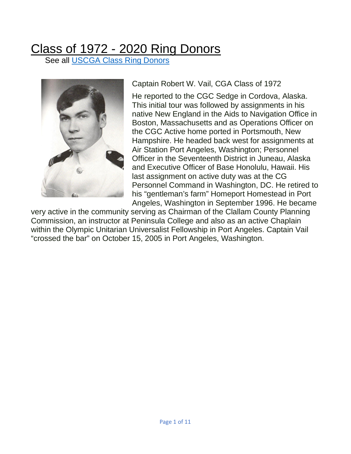## Class of 1972 - [2020 Ring](https://spark.adobe.com/page/GvvRK4gg25ZdN/#our-ring-donors) Donors<br>See all <u>USCGA Class Ring Donors</u>



Captain Robert W. Vail, CGA Class of 1972

He reported to the CGC Sedge in Cordova, Alaska. This initial tour was followed by assignments in his native New England in the Aids to Navigation Office in Boston, Massachusetts and as Operations Officer on the CGC Active home ported in Portsmouth, New Hampshire. He headed back west for assignments at Air Station Port Angeles, Washington; Personnel Officer in the Seventeenth District in Juneau, Alaska and Executive Officer of Base Honolulu, Hawaii. His last assignment on active duty was at the CG Personnel Command in Washington, DC. He retired to his "gentleman's farm" Homeport Homestead in Port Angeles, Washington in September 1996. He became

very active in the community serving as Chairman of the Clallam County Planning Commission, an instructor at Peninsula College and also as an active Chaplain within the Olympic Unitarian Universalist Fellowship in Port Angeles. Captain Vail "crossed the bar" on October 15, 2005 in Port Angeles, Washington.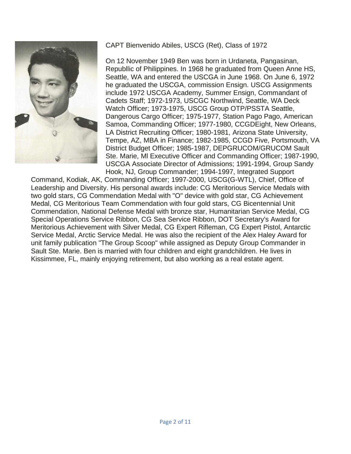

## CAPT Bienvenido Abiles, USCG (Ret), Class of 1972

On 12 November 1949 Ben was born in Urdaneta, Pangasinan, Republlic of Philippines. In 1968 he graduated from Queen Anne HS, Seattle, WA and entered the USCGA in June 1968. On June 6, 1972 he graduated the USCGA, commission Ensign. USCG Assignments include 1972 USCGA Academy, Summer Ensign, Commandant of Cadets Staff; 1972-1973, USCGC Northwind, Seattle, WA Deck Watch Officer; 1973-1975, USCG Group OTP/PSSTA Seattle, Dangerous Cargo Officer; 1975-1977, Station Pago Pago, American Samoa, Commanding Officer; 1977-1980, CCGDEight, New Orleans, LA District Recruiting Officer; 1980-1981, Arizona State University, Tempe, AZ, MBA in Finance; 1982-1985, CCGD Five, Portsmouth, VA District Budget Officer; 1985-1987, DEPGRUCOM/GRUCOM Sault Ste. Marie, Ml Executive Officer and Commanding Officer; 1987-1990, USCGA Associate Director of Admissions; 1991-1994, Group Sandy Hook, NJ, Group Commander; 1994-1997, Integrated Support

Command, Kodiak, AK, Commanding Officer; 1997-2000, USCG(G-WTL), Chief, Office of Leadership and Diversity. His personal awards include: CG Meritorious Service Medals with two gold stars, CG Commendation Medal with "O" device with gold star, CG Achievement Medal, CG Meritorious Team Commendation with four gold stars, CG Bicentennial Unit Commendation, National Defense Medal with bronze star, Humanitarian Service Medal, CG Special Operations Service Ribbon, CG Sea Service Ribbon, DOT Secretary's Award for Meritorious Achievement with Silver Medal, CG Expert Rifleman, CG Expert Pistol, Antarctic Service Medal, Arctic Service Medal. He was also the recipient of the Alex Haley Award for unit family publication "The Group Scoop" while assigned as Deputy Group Commander in Sault Ste. Marie. Ben is married with four children and eight grandchildren. He lives in Kissimmee, FL, mainly enjoying retirement, but also working as a real estate agent.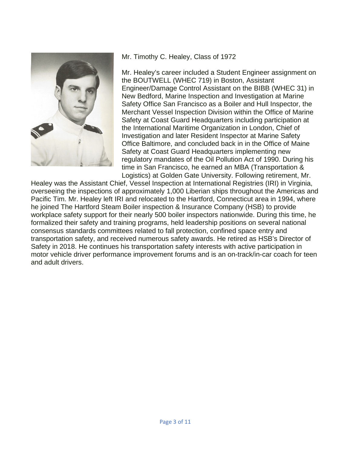

Mr. Timothy C. Healey, Class of 1972

Mr. Healey's career included a Student Engineer assignment on the BOUTWELL (WHEC 719) in Boston, Assistant Engineer/Damage Control Assistant on the BIBB (WHEC 31) in New Bedford, Marine Inspection and Investigation at Marine Safety Office San Francisco as a Boiler and Hull Inspector, the Merchant Vessel Inspection Division within the Office of Marine Safety at Coast Guard Headquarters including participation at the International Maritime Organization in London, Chief of Investigation and later Resident Inspector at Marine Safety Office Baltimore, and concluded back in in the Office of Maine Safety at Coast Guard Headquarters implementing new regulatory mandates of the Oil Pollution Act of 1990. During his time in San Francisco, he earned an MBA (Transportation & Logistics) at Golden Gate University. Following retirement, Mr.

Healey was the Assistant Chief, Vessel Inspection at International Registries (IRI) in Virginia, overseeing the inspections of approximately 1,000 Liberian ships throughout the Americas and Pacific Tim. Mr. Healey left IRI and relocated to the Hartford, Connecticut area in 1994, where he joined The Hartford Steam Boiler inspection & Insurance Company (HSB) to provide workplace safety support for their nearly 500 boiler inspectors nationwide. During this time, he formalized their safety and training programs, held leadership positions on several national consensus standards committees related to fall protection, confined space entry and transportation safety, and received numerous safety awards. He retired as HSB's Director of Safety in 2018. He continues his transportation safety interests with active participation in motor vehicle driver performance improvement forums and is an on-track/in-car coach for teen and adult drivers.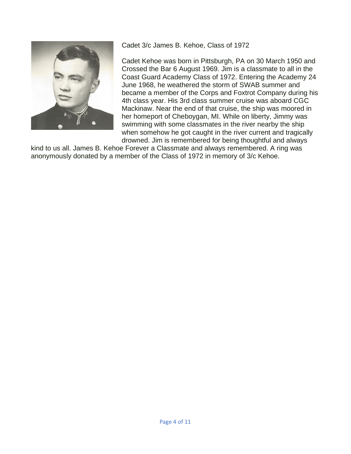

Cadet 3/c James B. Kehoe, Class of 1972

Cadet Kehoe was born in Pittsburgh, PA on 30 March 1950 and Crossed the Bar 6 August 1969. Jim is a classmate to all in the Coast Guard Academy Class of 1972. Entering the Academy 24 June 1968, he weathered the storm of SWAB summer and became a member of the Corps and Foxtrot Company during his 4th class year. His 3rd class summer cruise was aboard CGC Mackinaw. Near the end of that cruise, the ship was moored in her homeport of Cheboygan, MI. While on liberty, Jimmy was swimming with some classmates in the river nearby the ship when somehow he got caught in the river current and tragically drowned. Jim is remembered for being thoughtful and always

kind to us all. James B. Kehoe Forever a Classmate and always remembered. A ring was anonymously donated by a member of the Class of 1972 in memory of 3/c Kehoe.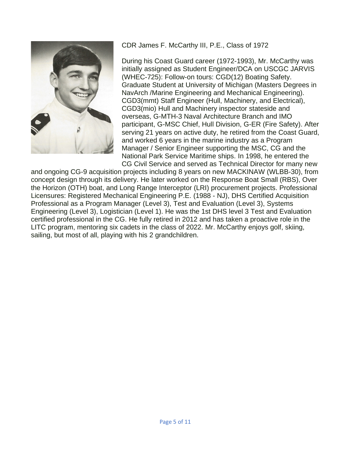

CDR James F. McCarthy III, P.E., Class of 1972

During his Coast Guard career (1972-1993), Mr. McCarthy was initially assigned as Student Engineer/DCA on USCGC JARVIS (WHEC-725): Follow-on tours: CGD(12) Boating Safety. Graduate Student at University of Michigan (Masters Degrees in NavArch /Marine Engineering and Mechanical Engineering). CGD3(mmt) Staff Engineer (Hull, Machinery, and Electrical), CGD3(mio) Hull and Machinery inspector stateside and overseas, G-MTH-3 Naval Architecture Branch and IMO participant, G-MSC Chief, Hull Division, G-ER (Fire Safety). After serving 21 years on active duty, he retired from the Coast Guard, and worked 6 years in the marine industry as a Program Manager / Senior Engineer supporting the MSC, CG and the National Park Service Maritime ships. In 1998, he entered the CG Civil Service and served as Technical Director for many new

and ongoing CG-9 acquisition projects including 8 years on new MACKINAW (WLBB-30), from concept design through its delivery. He later worked on the Response Boat Small (RBS), Over the Horizon (OTH) boat, and Long Range Interceptor (LRI) procurement projects. Professional Licensures: Registered Mechanical Engineering P.E. (1988 - NJ), DHS Certified Acquisition Professional as a Program Manager (Level 3), Test and Evaluation (Level 3), Systems Engineering (Level 3), Logistician (Level 1). He was the 1st DHS level 3 Test and Evaluation certified professional in the CG. He fully retired in 2012 and has taken a proactive role in the LITC program, mentoring six cadets in the class of 2022. Mr. McCarthy enjoys golf, skiing, sailing, but most of all, playing with his 2 grandchildren.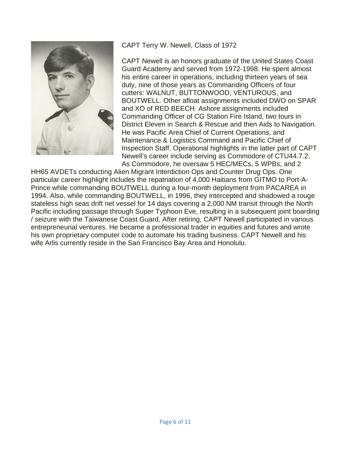

CAPT Terry W. Newell, Class of 1972

CAPT Newell is an honors graduate of the United States Coast Guard Academy and served from 1972-1998. He spent almost his entire career in operations, including thirteen years of sea duty, nine of those years as Commanding Officers of four cutters: WALNUT, BUTTONWOOD, VENTUROUS, and BOUTWELL. Other afloat assignments included DWO on SPAR and XO of RED BEECH. Ashore assignments included Commanding Officer of CG Station Fire Island, two tours in District Eleven in Search & Rescue and then Aids to Navigation. He was Pacific Area Chief of Current Operations, and Maintenance & Logistics Command and Pacific Chief of Inspection Staff. Operational highlights in the latter part of CAPT Newell's career include serving as Commodore of CTU44.7.2. As Commodore, he oversaw 5 HEC/MECs, 5 WPBs, and 2

HH65 AVDETs conducting Alien Migrant Interdiction Ops and Counter Drug Ops. One particular career highlight includes the repatriation of 4,000 Haitians from GITMO to Port-A-Prince while commanding BOUTWELL during a four-month deployment from PACAREA in 1994. Also, while commanding BOUTWELL, in 1996, they intercepted and shadowed a rouge stateless high seas drift net vessel for 14 days covering a 2,000 NM transit through the North Pacific including passage through Super Typhoon Eve, resulting in a subsequent joint boarding / seizure with the Taiwanese Coast Guard. After retiring, CAPT Newell participated in various entrepreneurial ventures. He became a professional trader in equities and futures and wrote his own proprietary computer code to automate his trading business. CAPT Newell and his wife Arlis currently reside in the San Francisco Bay Area and Honolulu.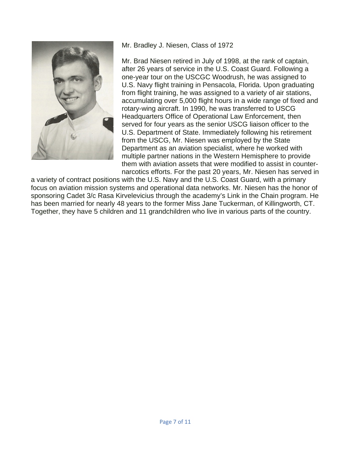

Mr. Bradley J. Niesen, Class of 1972

Mr. Brad Niesen retired in July of 1998, at the rank of captain, after 26 years of service in the U.S. Coast Guard. Following a one-year tour on the USCGC Woodrush, he was assigned to U.S. Navy flight training in Pensacola, Florida. Upon graduating from flight training, he was assigned to a variety of air stations, accumulating over 5,000 flight hours in a wide range of fixed and rotary-wing aircraft. In 1990, he was transferred to USCG Headquarters Office of Operational Law Enforcement, then served for four years as the senior USCG liaison officer to the U.S. Department of State. Immediately following his retirement from the USCG, Mr. Niesen was employed by the State Department as an aviation specialist, where he worked with multiple partner nations in the Western Hemisphere to provide them with aviation assets that were modified to assist in counternarcotics efforts. For the past 20 years, Mr. Niesen has served in

a variety of contract positions with the U.S. Navy and the U.S. Coast Guard, with a primary focus on aviation mission systems and operational data networks. Mr. Niesen has the honor of sponsoring Cadet 3/c Rasa Kirvelevicius through the academy's Link in the Chain program. He has been married for nearly 48 years to the former Miss Jane Tuckerman, of Killingworth, CT. Together, they have 5 children and 11 grandchildren who live in various parts of the country.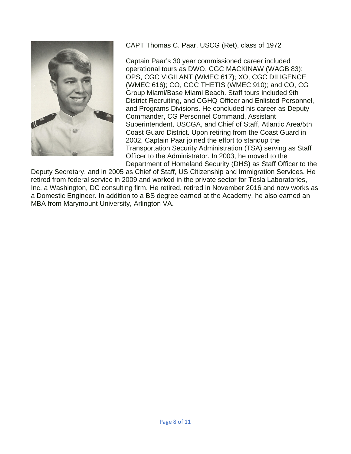

CAPT Thomas C. Paar, USCG (Ret), class of 1972

Captain Paar's 30 year commissioned career included operational tours as DWO, CGC MACKINAW (WAGB 83); OPS, CGC VIGILANT (WMEC 617); XO, CGC DILIGENCE (WMEC 616); CO, CGC THETIS (WMEC 910); and CO, CG Group Miami/Base Miami Beach. Staff tours included 9th District Recruiting, and CGHQ Officer and Enlisted Personnel, and Programs Divisions. He concluded his career as Deputy Commander, CG Personnel Command, Assistant Superintendent, USCGA, and Chief of Staff, Atlantic Area/5th Coast Guard District. Upon retiring from the Coast Guard in 2002, Captain Paar joined the effort to standup the Transportation Security Administration (TSA) serving as Staff Officer to the Administrator. In 2003, he moved to the Department of Homeland Security (DHS) as Staff Officer to the

Deputy Secretary, and in 2005 as Chief of Staff, US Citizenship and Immigration Services. He retired from federal service in 2009 and worked in the private sector for Tesla Laboratories, Inc. a Washington, DC consulting firm. He retired, retired in November 2016 and now works as a Domestic Engineer. In addition to a BS degree earned at the Academy, he also earned an MBA from Marymount University, Arlington VA.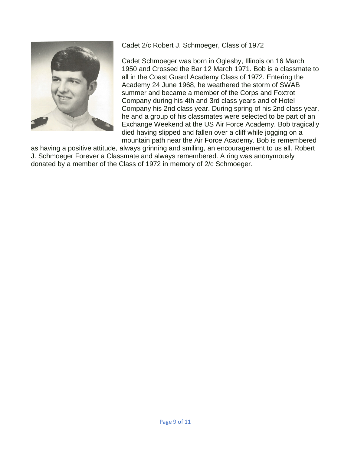

Cadet 2/c Robert J. Schmoeger, Class of 1972

Cadet Schmoeger was born in Oglesby, Illinois on 16 March 1950 and Crossed the Bar 12 March 1971. Bob is a classmate to all in the Coast Guard Academy Class of 1972. Entering the Academy 24 June 1968, he weathered the storm of SWAB summer and became a member of the Corps and Foxtrot Company during his 4th and 3rd class years and of Hotel Company his 2nd class year. During spring of his 2nd class year, he and a group of his classmates were selected to be part of an Exchange Weekend at the US Air Force Academy. Bob tragically died having slipped and fallen over a cliff while jogging on a mountain path near the Air Force Academy. Bob is remembered

as having a positive attitude, always grinning and smiling, an encouragement to us all. Robert J. Schmoeger Forever a Classmate and always remembered. A ring was anonymously donated by a member of the Class of 1972 in memory of 2/c Schmoeger.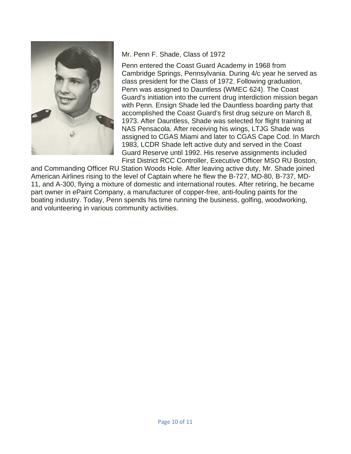

## Mr. Penn F. Shade, Class of 1972

Penn entered the Coast Guard Academy in 1968 from Cambridge Springs, Pennsylvania. During 4/c year he served as class president for the Class of 1972. Following graduation, Penn was assigned to Dauntless (WMEC 624). The Coast Guard's initiation into the current drug interdiction mission began with Penn. Ensign Shade led the Dauntless boarding party that accomplished the Coast Guard's first drug seizure on March 8, 1973. After Dauntless, Shade was selected for flight training at NAS Pensacola. After receiving his wings, LTJG Shade was assigned to CGAS Miami and later to CGAS Cape Cod. In March 1983, LCDR Shade left active duty and served in the Coast Guard Reserve until 1992. His reserve assignments included First District RCC Controller, Executive Officer MSO RU Boston,

and Commanding Officer RU Station Woods Hole. After leaving active duty, Mr. Shade joined American Airlines rising to the level of Captain where he flew the B-727, MD-80, B-737, MD-11, and A-300, flying a mixture of domestic and international routes. After retiring, he became part owner in ePaint Company, a manufacturer of copper-free, anti-fouling paints for the boating industry. Today, Penn spends his time running the business, golfing, woodworking, and volunteering in various community activities.